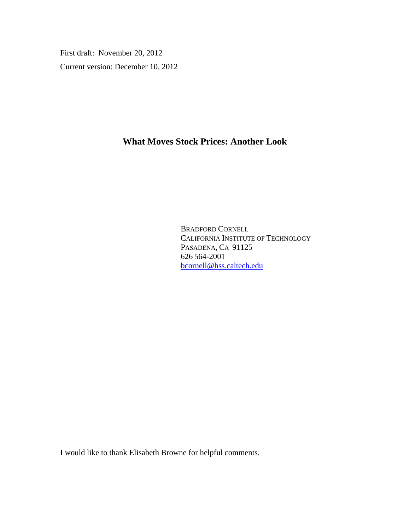First draft: November 20, 2012 Current version: December 10, 2012

# **What Moves Stock Prices: Another Look**

BRADFORD CORNELL CALIFORNIA INSTITUTE OF TECHNOLOGY PASADENA, CA 91125 626 564-2001 bcornell@hss.caltech.edu

I would like to thank Elisabeth Browne for helpful comments.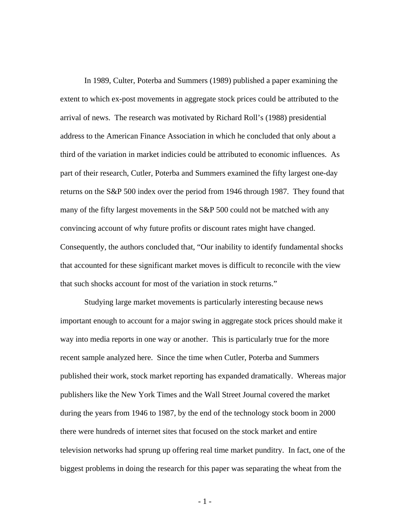In 1989, Culter, Poterba and Summers (1989) published a paper examining the extent to which ex-post movements in aggregate stock prices could be attributed to the arrival of news. The research was motivated by Richard Roll's (1988) presidential address to the American Finance Association in which he concluded that only about a third of the variation in market indicies could be attributed to economic influences. As part of their research, Cutler, Poterba and Summers examined the fifty largest one-day returns on the S&P 500 index over the period from 1946 through 1987. They found that many of the fifty largest movements in the S&P 500 could not be matched with any convincing account of why future profits or discount rates might have changed. Consequently, the authors concluded that, "Our inability to identify fundamental shocks that accounted for these significant market moves is difficult to reconcile with the view that such shocks account for most of the variation in stock returns."

 Studying large market movements is particularly interesting because news important enough to account for a major swing in aggregate stock prices should make it way into media reports in one way or another. This is particularly true for the more recent sample analyzed here. Since the time when Cutler, Poterba and Summers published their work, stock market reporting has expanded dramatically. Whereas major publishers like the New York Times and the Wall Street Journal covered the market during the years from 1946 to 1987, by the end of the technology stock boom in 2000 there were hundreds of internet sites that focused on the stock market and entire television networks had sprung up offering real time market punditry. In fact, one of the biggest problems in doing the research for this paper was separating the wheat from the

- 1 -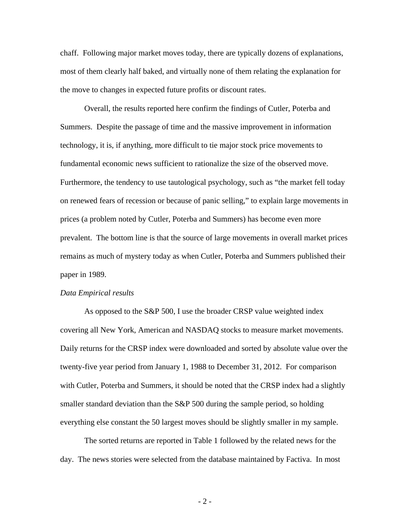chaff. Following major market moves today, there are typically dozens of explanations, most of them clearly half baked, and virtually none of them relating the explanation for the move to changes in expected future profits or discount rates.

 Overall, the results reported here confirm the findings of Cutler, Poterba and Summers. Despite the passage of time and the massive improvement in information technology, it is, if anything, more difficult to tie major stock price movements to fundamental economic news sufficient to rationalize the size of the observed move. Furthermore, the tendency to use tautological psychology, such as "the market fell today on renewed fears of recession or because of panic selling," to explain large movements in prices (a problem noted by Cutler, Poterba and Summers) has become even more prevalent. The bottom line is that the source of large movements in overall market prices remains as much of mystery today as when Cutler, Poterba and Summers published their paper in 1989.

#### *Data Empirical results*

 As opposed to the S&P 500, I use the broader CRSP value weighted index covering all New York, American and NASDAQ stocks to measure market movements. Daily returns for the CRSP index were downloaded and sorted by absolute value over the twenty-five year period from January 1, 1988 to December 31, 2012. For comparison with Cutler, Poterba and Summers, it should be noted that the CRSP index had a slightly smaller standard deviation than the S&P 500 during the sample period, so holding everything else constant the 50 largest moves should be slightly smaller in my sample.

 The sorted returns are reported in Table 1 followed by the related news for the day. The news stories were selected from the database maintained by Factiva. In most

- 2 -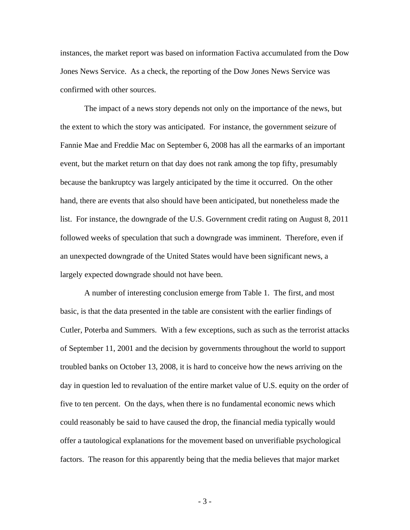instances, the market report was based on information Factiva accumulated from the Dow Jones News Service. As a check, the reporting of the Dow Jones News Service was confirmed with other sources.

 The impact of a news story depends not only on the importance of the news, but the extent to which the story was anticipated. For instance, the government seizure of Fannie Mae and Freddie Mac on September 6, 2008 has all the earmarks of an important event, but the market return on that day does not rank among the top fifty, presumably because the bankruptcy was largely anticipated by the time it occurred. On the other hand, there are events that also should have been anticipated, but nonetheless made the list. For instance, the downgrade of the U.S. Government credit rating on August 8, 2011 followed weeks of speculation that such a downgrade was imminent. Therefore, even if an unexpected downgrade of the United States would have been significant news, a largely expected downgrade should not have been.

 A number of interesting conclusion emerge from Table 1. The first, and most basic, is that the data presented in the table are consistent with the earlier findings of Cutler, Poterba and Summers. With a few exceptions, such as such as the terrorist attacks of September 11, 2001 and the decision by governments throughout the world to support troubled banks on October 13, 2008, it is hard to conceive how the news arriving on the day in question led to revaluation of the entire market value of U.S. equity on the order of five to ten percent. On the days, when there is no fundamental economic news which could reasonably be said to have caused the drop, the financial media typically would offer a tautological explanations for the movement based on unverifiable psychological factors. The reason for this apparently being that the media believes that major market

- 3 -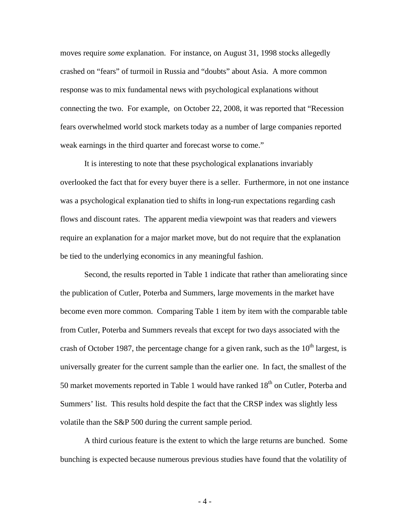moves require *some* explanation. For instance, on August 31, 1998 stocks allegedly crashed on "fears" of turmoil in Russia and "doubts" about Asia. A more common response was to mix fundamental news with psychological explanations without connecting the two. For example, on October 22, 2008, it was reported that "Recession fears overwhelmed world stock markets today as a number of large companies reported weak earnings in the third quarter and forecast worse to come."

 It is interesting to note that these psychological explanations invariably overlooked the fact that for every buyer there is a seller. Furthermore, in not one instance was a psychological explanation tied to shifts in long-run expectations regarding cash flows and discount rates. The apparent media viewpoint was that readers and viewers require an explanation for a major market move, but do not require that the explanation be tied to the underlying economics in any meaningful fashion.

 Second, the results reported in Table 1 indicate that rather than ameliorating since the publication of Cutler, Poterba and Summers, large movements in the market have become even more common. Comparing Table 1 item by item with the comparable table from Cutler, Poterba and Summers reveals that except for two days associated with the crash of October 1987, the percentage change for a given rank, such as the  $10<sup>th</sup>$  largest, is universally greater for the current sample than the earlier one. In fact, the smallest of the 50 market movements reported in Table 1 would have ranked 18<sup>th</sup> on Cutler, Poterba and Summers' list. This results hold despite the fact that the CRSP index was slightly less volatile than the S&P 500 during the current sample period.

 A third curious feature is the extent to which the large returns are bunched. Some bunching is expected because numerous previous studies have found that the volatility of

- 4 -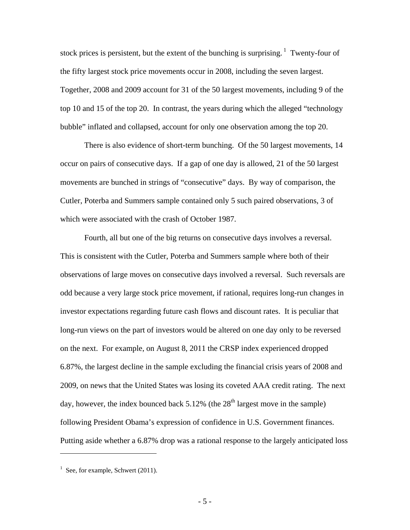stock prices is persistent, but the extent of the bunching is surprising.  $\frac{1}{1}$  Twenty-four of the fifty largest stock price movements occur in 2008, including the seven largest. Together, 2008 and 2009 account for 31 of the 50 largest movements, including 9 of the top 10 and 15 of the top 20. In contrast, the years during which the alleged "technology bubble" inflated and collapsed, account for only one observation among the top 20.

 There is also evidence of short-term bunching. Of the 50 largest movements, 14 occur on pairs of consecutive days. If a gap of one day is allowed, 21 of the 50 largest movements are bunched in strings of "consecutive" days. By way of comparison, the Cutler, Poterba and Summers sample contained only 5 such paired observations, 3 of which were associated with the crash of October 1987.

 Fourth, all but one of the big returns on consecutive days involves a reversal. This is consistent with the Cutler, Poterba and Summers sample where both of their observations of large moves on consecutive days involved a reversal. Such reversals are odd because a very large stock price movement, if rational, requires long-run changes in investor expectations regarding future cash flows and discount rates. It is peculiar that long-run views on the part of investors would be altered on one day only to be reversed on the next. For example, on August 8, 2011 the CRSP index experienced dropped 6.87%, the largest decline in the sample excluding the financial crisis years of 2008 and 2009, on news that the United States was losing its coveted AAA credit rating. The next day, however, the index bounced back  $5.12\%$  (the  $28<sup>th</sup>$  largest move in the sample) following President Obama's expression of confidence in U.S. Government finances. Putting aside whether a 6.87% drop was a rational response to the largely anticipated loss

 $\overline{a}$ 

- 5 -

 $<sup>1</sup>$  See, for example, Schwert (2011).</sup>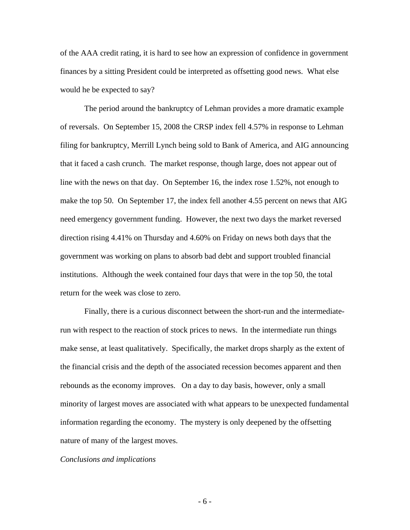of the AAA credit rating, it is hard to see how an expression of confidence in government finances by a sitting President could be interpreted as offsetting good news. What else would he be expected to say?

 The period around the bankruptcy of Lehman provides a more dramatic example of reversals. On September 15, 2008 the CRSP index fell 4.57% in response to Lehman filing for bankruptcy, Merrill Lynch being sold to Bank of America, and AIG announcing that it faced a cash crunch. The market response, though large, does not appear out of line with the news on that day. On September 16, the index rose 1.52%, not enough to make the top 50. On September 17, the index fell another 4.55 percent on news that AIG need emergency government funding. However, the next two days the market reversed direction rising 4.41% on Thursday and 4.60% on Friday on news both days that the government was working on plans to absorb bad debt and support troubled financial institutions. Although the week contained four days that were in the top 50, the total return for the week was close to zero.

 Finally, there is a curious disconnect between the short-run and the intermediaterun with respect to the reaction of stock prices to news. In the intermediate run things make sense, at least qualitatively. Specifically, the market drops sharply as the extent of the financial crisis and the depth of the associated recession becomes apparent and then rebounds as the economy improves. On a day to day basis, however, only a small minority of largest moves are associated with what appears to be unexpected fundamental information regarding the economy. The mystery is only deepened by the offsetting nature of many of the largest moves.

#### *Conclusions and implications*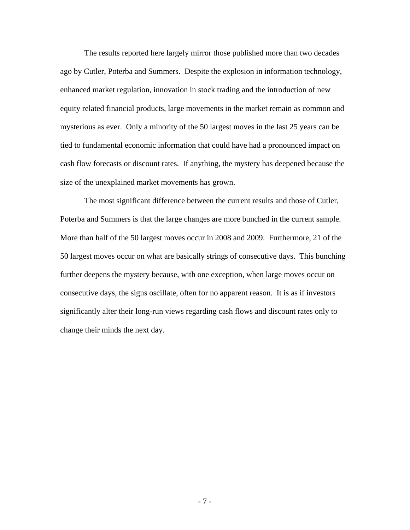The results reported here largely mirror those published more than two decades ago by Cutler, Poterba and Summers. Despite the explosion in information technology, enhanced market regulation, innovation in stock trading and the introduction of new equity related financial products, large movements in the market remain as common and mysterious as ever. Only a minority of the 50 largest moves in the last 25 years can be tied to fundamental economic information that could have had a pronounced impact on cash flow forecasts or discount rates. If anything, the mystery has deepened because the size of the unexplained market movements has grown.

 The most significant difference between the current results and those of Cutler, Poterba and Summers is that the large changes are more bunched in the current sample. More than half of the 50 largest moves occur in 2008 and 2009. Furthermore, 21 of the 50 largest moves occur on what are basically strings of consecutive days. This bunching further deepens the mystery because, with one exception, when large moves occur on consecutive days, the signs oscillate, often for no apparent reason. It is as if investors significantly alter their long-run views regarding cash flows and discount rates only to change their minds the next day.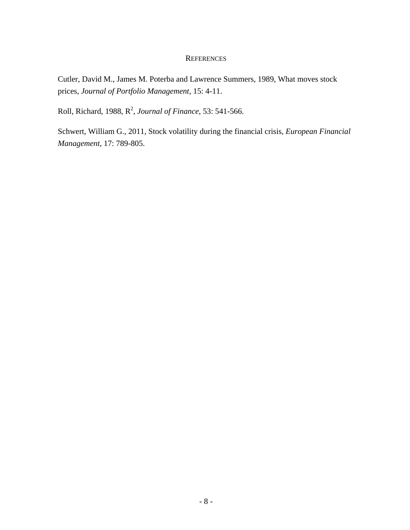#### **REFERENCES**

Cutler, David M., James M. Poterba and Lawrence Summers, 1989, What moves stock prices, *Journal of Portfolio Management*, 15: 4-11.

Roll, Richard, 1988, R2 , *Journal of Finance*, 53: 541-566.

Schwert, William G., 2011, Stock volatility during the financial crisis, *European Financial Management*, 17: 789-805.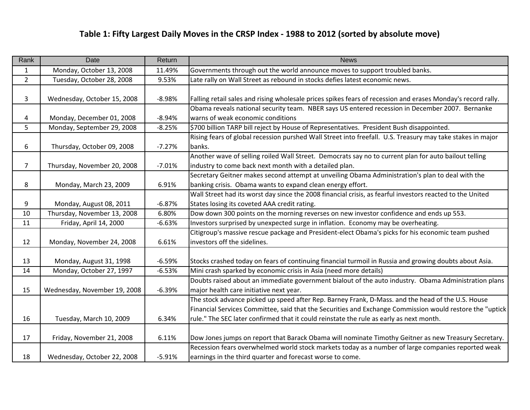| Rank           | Date                         | Return   | <b>News</b>                                                                                                  |
|----------------|------------------------------|----------|--------------------------------------------------------------------------------------------------------------|
| $\mathbf{1}$   | Monday, October 13, 2008     | 11.49%   | Governments through out the world announce moves to support troubled banks.                                  |
| $\overline{2}$ | Tuesday, October 28, 2008    | 9.53%    | Late rally on Wall Street as rebound in stocks defies latest economic news.                                  |
|                |                              |          |                                                                                                              |
| 3              | Wednesday, October 15, 2008  | $-8.98%$ | Falling retail sales and rising wholesale prices spikes fears of recession and erases Monday's record rally. |
|                |                              |          | Obama reveals national security team. NBER says US entered recession in December 2007. Bernanke              |
| 4              | Monday, December 01, 2008    | $-8.94%$ | warns of weak economic conditions                                                                            |
| 5              | Monday, September 29, 2008   | $-8.25%$ | \$700 billion TARP bill reject by House of Representatives. President Bush disappointed.                     |
|                |                              |          | Rising fears of global recession purshed Wall Street into freefall. U.S. Treasury may take stakes in major   |
| 6              | Thursday, October 09, 2008   | $-7.27%$ | banks.                                                                                                       |
|                |                              |          | Another wave of selling roiled Wall Street. Democrats say no to current plan for auto bailout telling        |
| $\overline{7}$ | Thursday, November 20, 2008  | $-7.01%$ | industry to come back next month with a detailed plan.                                                       |
|                |                              |          | Secretary Geitner makes second attempt at unveiling Obama Administration's plan to deal with the             |
| 8              | Monday, March 23, 2009       | 6.91%    | banking crisis. Obama wants to expand clean energy effort.                                                   |
|                |                              |          | Wall Street had its worst day since the 2008 financial crisis, as fearful investors reacted to the United    |
| 9              | Monday, August 08, 2011      | $-6.87%$ | States losing its coveted AAA credit rating.                                                                 |
| 10             | Thursday, November 13, 2008  | 6.80%    | Dow down 300 points on the morning reverses on new investor confidence and ends up 553.                      |
| 11             | Friday, April 14, 2000       | $-6.63%$ | Investors surprised by unexpected surge in inflation. Economy may be overheating.                            |
|                |                              |          | Citigroup's massive rescue package and President-elect Obama's picks for his economic team pushed            |
| 12             | Monday, November 24, 2008    | 6.61%    | investors off the sidelines.                                                                                 |
|                |                              |          |                                                                                                              |
| 13             | Monday, August 31, 1998      | $-6.59%$ | Stocks crashed today on fears of continuing financial turmoil in Russia and growing doubts about Asia.       |
| 14             | Monday, October 27, 1997     | $-6.53%$ | Mini crash sparked by economic crisis in Asia (need more details)                                            |
|                |                              |          | Doubts raised about an immediate government bialout of the auto industry. Obama Administration plans         |
| 15             | Wednesday, November 19, 2008 | $-6.39%$ | major health care initiative next year.                                                                      |
|                |                              |          | The stock advance picked up speed after Rep. Barney Frank, D-Mass. and the head of the U.S. House            |
|                |                              |          | Financial Services Committee, said that the Securities and Exchange Commission would restore the "uptick     |
| 16             | Tuesday, March 10, 2009      | 6.34%    | rule." The SEC later confirmed that it could reinstate the rule as early as next month.                      |
|                |                              |          |                                                                                                              |
| 17             | Friday, November 21, 2008    | 6.11%    | Dow Jones jumps on report that Barack Obama will nominate Timothy Geitner as new Treasury Secretary.         |
|                |                              |          | Recession fears overwhelmed world stock markets today as a number of large companies reported weak           |
| 18             | Wednesday, October 22, 2008  | $-5.91%$ | earnings in the third quarter and forecast worse to come.                                                    |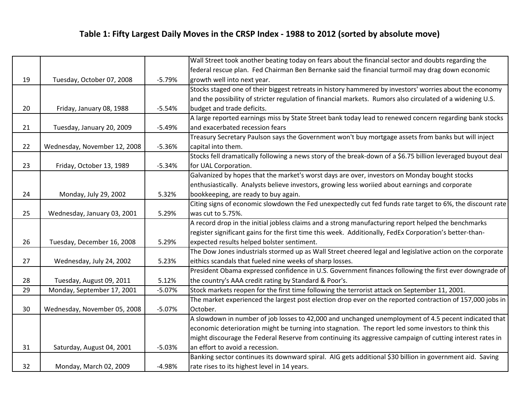|    |                              |          | Wall Street took another beating today on fears about the financial sector and doubts regarding the         |
|----|------------------------------|----------|-------------------------------------------------------------------------------------------------------------|
|    |                              |          | federal rescue plan. Fed Chairman Ben Bernanke said the financial turmoil may drag down economic            |
| 19 | Tuesday, October 07, 2008    | $-5.79%$ | growth well into next year.                                                                                 |
|    |                              |          | Stocks staged one of their biggest retreats in history hammered by investors' worries about the economy     |
|    |                              |          | and the possibility of stricter regulation of financial markets. Rumors also circulated of a widening U.S.  |
| 20 | Friday, January 08, 1988     | $-5.54%$ | budget and trade deficits.                                                                                  |
|    |                              |          | A large reported earnings miss by State Street bank today lead to renewed concern regarding bank stocks     |
| 21 | Tuesday, January 20, 2009    | $-5.49%$ | and exacerbated recession fears                                                                             |
|    |                              |          | Treasury Secretary Paulson says the Government won't buy mortgage assets from banks but will inject         |
| 22 | Wednesday, November 12, 2008 | $-5.36%$ | capital into them.                                                                                          |
|    |                              |          | Stocks fell dramatically following a news story of the break-down of a \$6.75 billion leveraged buyout deal |
| 23 | Friday, October 13, 1989     | $-5.34%$ | for UAL Corporation.                                                                                        |
|    |                              |          | Galvanized by hopes that the market's worst days are over, investors on Monday bought stocks                |
|    |                              |          | enthusiastically. Analysts believe investors, growing less woriied about earnings and corporate             |
| 24 | Monday, July 29, 2002        | 5.32%    | bookkeeping, are ready to buy again.                                                                        |
|    |                              |          | Citing signs of economic slowdown the Fed unexpectedly cut fed funds rate target to 6%, the discount rate   |
| 25 | Wednesday, January 03, 2001  | 5.29%    | was cut to 5.75%.                                                                                           |
|    |                              |          | A record drop in the initial jobless claims and a strong manufacturing report helped the benchmarks         |
|    |                              |          | register significant gains for the first time this week. Additionally, FedEx Corporation's better-than-     |
| 26 | Tuesday, December 16, 2008   | 5.29%    | expected results helped bolster sentiment.                                                                  |
|    |                              |          | The Dow Jones industrials stormed up as Wall Street cheered legal and legislative action on the corporate   |
| 27 | Wednesday, July 24, 2002     | 5.23%    | eithics scandals that fueled nine weeks of sharp losses.                                                    |
|    |                              |          | President Obama expressed confidence in U.S. Government finances following the first ever downgrade of      |
| 28 | Tuesday, August 09, 2011     | 5.12%    | the country's AAA credit rating by Standard & Poor's.                                                       |
| 29 | Monday, September 17, 2001   | $-5.07%$ | Stock markets reopen for the first time following the terrorist attack on September 11, 2001.               |
|    |                              |          | The market experienced the largest post election drop ever on the reported contraction of 157,000 jobs in   |
| 30 | Wednesday, November 05, 2008 | $-5.07%$ | October.                                                                                                    |
|    |                              |          | A slowdown in number of job losses to 42,000 and unchanged unemployment of 4.5 pecent indicated that        |
|    |                              |          | economic deterioration might be turning into stagnation. The report led some investors to think this        |
|    |                              |          | might discourage the Federal Reserve from continuing its aggressive campaign of cutting interest rates in   |
| 31 | Saturday, August 04, 2001    | $-5.03%$ | an effort to avoid a recession.                                                                             |
|    |                              |          | Banking sector continues its downward spiral. AIG gets additional \$30 billion in government aid. Saving    |
| 32 | Monday, March 02, 2009       | $-4.98%$ | rate rises to its highest level in 14 years.                                                                |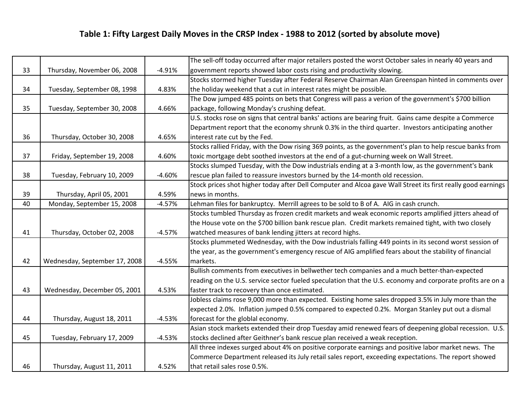|    |                               |          | The sell-off today occurred after major retailers posted the worst October sales in nearly 40 years and      |
|----|-------------------------------|----------|--------------------------------------------------------------------------------------------------------------|
| 33 | Thursday, November 06, 2008   | $-4.91%$ | government reports showed labor costs rising and productivity slowing.                                       |
|    |                               |          | Stocks stormed higher Tuesday after Federal Reserve Chairman Alan Greenspan hinted in comments over          |
| 34 | Tuesday, September 08, 1998   | 4.83%    | the holiday weekend that a cut in interest rates might be possible.                                          |
|    |                               |          | The Dow jumped 485 points on bets that Congress will pass a verion of the government's \$700 billion         |
| 35 | Tuesday, September 30, 2008   | 4.66%    | package, following Monday's crushing defeat.                                                                 |
|    |                               |          | U.S. stocks rose on signs that central banks' actions are bearing fruit. Gains came despite a Commerce       |
|    |                               |          | Department report that the economy shrunk 0.3% in the third quarter. Investors anticipating another          |
| 36 | Thursday, October 30, 2008    | 4.65%    | interest rate cut by the Fed.                                                                                |
|    |                               |          | Stocks rallied Friday, with the Dow rising 369 points, as the government's plan to help rescue banks from    |
| 37 | Friday, September 19, 2008    | 4.60%    | toxic mortgage debt soothed investors at the end of a gut-churning week on Wall Street.                      |
|    |                               |          | Stocks slumped Tuesday, with the Dow industrials ending at a 3-month low, as the government's bank           |
| 38 | Tuesday, February 10, 2009    | $-4.60%$ | rescue plan failed to reassure investors burned by the 14-month old recession.                               |
|    |                               |          | Stock prices shot higher today after Dell Computer and Alcoa gave Wall Street its first really good earnings |
| 39 | Thursday, April 05, 2001      | 4.59%    | news in months.                                                                                              |
| 40 | Monday, September 15, 2008    | $-4.57%$ | Lehman files for bankruptcy. Merrill agrees to be sold to B of A. AIG in cash crunch.                        |
|    |                               |          | Stocks tumbled Thursday as frozen credit markets and weak economic reports amplified jitters ahead of        |
|    |                               |          | the House vote on the \$700 billion bank rescue plan. Credit markets remained tight, with two closely        |
| 41 | Thursday, October 02, 2008    | $-4.57%$ | watched measures of bank lending jitters at record highs.                                                    |
|    |                               |          | Stocks plummeted Wednesday, with the Dow industrials falling 449 points in its second worst session of       |
|    |                               |          | the year, as the government's emergency rescue of AIG amplified fears about the stability of financial       |
| 42 | Wednesday, September 17, 2008 | $-4.55%$ | markets.                                                                                                     |
|    |                               |          | Bullish comments from executives in bellwether tech companies and a much better-than-expected                |
|    |                               |          | reading on the U.S. service sector fueled speculation that the U.S. economy and corporate profits are on a   |
| 43 | Wednesday, December 05, 2001  | 4.53%    | faster track to recovery than once estimated.                                                                |
|    |                               |          | Jobless claims rose 9,000 more than expected. Existing home sales dropped 3.5% in July more than the         |
|    |                               |          | expected 2.0%. Inflation jumped 0.5% compared to expected 0.2%. Morgan Stanley put out a dismal              |
| 44 | Thursday, August 18, 2011     | $-4.53%$ | forecast for the globlal economy.                                                                            |
|    |                               |          | Asian stock markets extended their drop Tuesday amid renewed fears of deepening global recession. U.S.       |
| 45 | Tuesday, February 17, 2009    | $-4.53%$ | stocks declined after Geithner's bank rescue plan received a weak reception.                                 |
|    |                               |          | All three indexes surged about 4% on positive corporate earnings and positive labor market news. The         |
|    |                               |          | Commerce Department released its July retail sales report, exceeding expectations. The report showed         |
| 46 | Thursday, August 11, 2011     | 4.52%    | that retail sales rose 0.5%.                                                                                 |